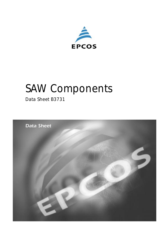

# *SAW Components*

*Data Sheet B3731*

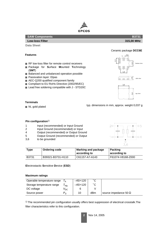

#### **SAW Components B3731**

## **Low-loss Filter 315,00 MHz**

**Data Sheet**

#### **Features**

- RF low-loss filter for remote control receivers
- Package for **S**urface **Mounted Technology** (**SMT**)
- Balanced and unbalanced operation possible
- Passivation layer: Elpas
- AEC-Q200 qualified component family
- Compliant to EU RoHs Directive (2002/95/EC)
- Lead free soldering compatible with J STD20C



#### **Terminals**

■ Ni, gold plated

typ. dimensions in mm, approx. weight 0,037 g

#### **Pin configuration**1)

- 1 Input (recommended) or Input Ground
- 2 Input Ground (recommended) or Input
- 4 Output (recommended) or Output Ground
- 5 Output Ground (recommended) or Output
- 3,6 to be grounded



| Type  | <b>Ordering code</b> | Marking and package<br>according to | <b>Packing</b><br>according to |
|-------|----------------------|-------------------------------------|--------------------------------|
| B3731 | B39321-B3731-H110    | C61157-A7-A143                      | F61074-V8168-Z000              |

**E**lectrostactic **S**ensitive **D**evice (**ESD**)

#### **Maximum ratings**

| Operable temperature range |                 | $-45/+120$ | ۰c  |                              |
|----------------------------|-----------------|------------|-----|------------------------------|
| Storage temperature range  | stg             | $-45/+120$ | °∩  |                              |
| DC voltage                 | <sup>V</sup> DC |            |     |                              |
| Source power               | $P_{\rm c}$     | 10         | dBm | source impedance 50 $\Omega$ |

1) The recommended pin configuration usually offers best suppression of electrical crosstalk.The filter characteristics refer to this configuration.



Ceramic package **DCC6E**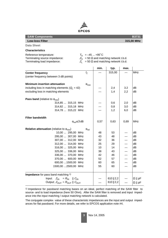

| <b>SAW Components</b>                                                                  |                                                                                                                                       | <b>B3731</b> |            |      |                       |  |
|----------------------------------------------------------------------------------------|---------------------------------------------------------------------------------------------------------------------------------------|--------------|------------|------|-----------------------|--|
| <b>Low-loss Filter</b>                                                                 |                                                                                                                                       | 315,00 MHz   |            |      |                       |  |
| <b>Data Sheet</b>                                                                      |                                                                                                                                       |              |            |      |                       |  |
| <b>Characteristics</b>                                                                 |                                                                                                                                       |              |            |      |                       |  |
| Reference temperature:<br>Terminating source impedance:<br>Terminating load impedance: | $T_A = -45  +95^{\circ}C$<br>$Z_{\rm S}$ = 50 $\Omega$ and matching network t.b.d.<br>$Z_L$ = 50 $\Omega$ and matching network t.b.d. |              |            |      |                       |  |
|                                                                                        |                                                                                                                                       | min.         | typ.       | max. |                       |  |
| <b>Center frequency</b>                                                                | $f_C$                                                                                                                                 |              | 315,00     |      | <b>MHz</b>            |  |
| (center frequency between 3 dB points)                                                 |                                                                                                                                       |              |            |      |                       |  |
| <b>Minimum insertion attenuation</b>                                                   | $\alpha_{\text{min}}$                                                                                                                 |              |            |      |                       |  |
| including loss in matching elements $(Q_L = 42)$                                       |                                                                                                                                       |              | 2,4        | 3.2  | dВ                    |  |
| excluding loss in matching elements                                                    |                                                                                                                                       |              | 1,4        | 2,2  | dB                    |  |
| <b>Pass band</b> (relative to $\alpha_{\text{min}}$ )                                  |                                                                                                                                       |              |            |      |                       |  |
| 314,85  315,15 MHz                                                                     |                                                                                                                                       |              | 0,6        | 2,0  | dВ                    |  |
| 314,82  315,18 MHz                                                                     |                                                                                                                                       |              | 0,8        | 3,0  | dB                    |  |
| 314,78  315,22 MHz                                                                     |                                                                                                                                       |              | 1,2        | 6,0  | dB                    |  |
| <b>Filter bandwidth</b>                                                                |                                                                                                                                       |              |            |      |                       |  |
| $\alpha_{\text{rel}} \leq 3$ dB                                                        |                                                                                                                                       | 0,57         | 0,63       | 0,69 | MHz                   |  |
| <b>Relative attenuation</b> (relative to $\alpha_{\text{min}}$ )                       | $\alpha_{\text{rel}}$                                                                                                                 |              |            |      |                       |  |
| 10,00  295,00 MHz                                                                      |                                                                                                                                       | 48           | 53         |      | dB                    |  |
| 295,00  307,00 MHz                                                                     |                                                                                                                                       | 43           | 48         |      | dB                    |  |
| 307,00  312,00 MHz                                                                     |                                                                                                                                       | 32           | 36         |      | dB                    |  |
| 312,00  314,00 MHz                                                                     |                                                                                                                                       | 25           | 29         |      | dB                    |  |
| 316,00  325,00 MHz                                                                     |                                                                                                                                       | 10           | 14         |      | dB                    |  |
| 325,00  336,00 MHz                                                                     |                                                                                                                                       | 38           | 43         |      | dB                    |  |
| 336,00  370,00 MHz                                                                     |                                                                                                                                       | 42           | 46         |      | dB                    |  |
| 370,00  600,00 MHz                                                                     |                                                                                                                                       | 52           | 57         |      | dB                    |  |
| 600,00 1500,00 MHz                                                                     |                                                                                                                                       | 60           | 65         |      | dB                    |  |
| 1500,00 2500,00 MHz                                                                    |                                                                                                                                       | 55           | 60         |      | dB                    |  |
| Impedance for pass band matching 1)                                                    |                                                                                                                                       |              |            |      |                       |  |
| Input: $Z_{\text{IN}} = R_{\text{IN}}$    $C_{\text{IN}}$                              |                                                                                                                                       |              | 610    2,2 |      | $\Omega \parallel pF$ |  |
| Output: $Z_{\text{OUT}} = R_{\text{OUT}}    C_{\text{OUT}}$                            |                                                                                                                                       |              | 610    2,2 |      | $\Omega \parallel pF$ |  |

1) Impedance for passband matching bases on an ideal, perfect matching of the SAW filter to source- and to load impedance (here 50 Ohm). After the SAW filter is removed and input impedance into the input matching / output matching network is calculated.

The conjugate complex value of these characteristic impedances are the input and output impedances for flat passband. For more details, we refer to EPCOS application note #4.

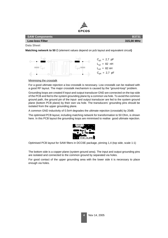

#### **Low-loss Filter 315,00 MHz**

**Data Sheet**

**Matching network to 50** Ω (element values depend on pcb layout and equivalent circuit**)**



Minimising the crosstalk

For a good ultimate rejection a low crosstalk is necessary. Low crosstalk can be realised with a good RF layout. The major crosstalk mechanism is caused by the "ground-loop" problem.

Grounding loops are created if input-and output transducer GND are connected on the top-side of the PCB and fed to the system grounding plane by a common via hole. To avoid the common ground path, the ground pin of the input- and output transducer are fed to the system ground plane (bottom PCB plane) by their own via hole. The transducers' grounding pins should be isolated from the upper grounding plane.

A common GND inductivity of 0.5nH degrades the ultimate rejection (crosstalk) by 20dB.

The optimised PCB layout, including matching network for transformation to 50 Ohm, is shown here. In this PCB layout the grounding loops are minimised to realise good ultimate rejection.



Optimised PCB layout for SAW filters in DCC6E package, pinning 1,4 (top side, scale 1:1)

The bottom side is a copper plane (system ground area). The input and output grounding pins are isolated and connected to the common ground by separated via holes.

For good contact of the upper grounding area with the lower side it is necessary to place enough via holes.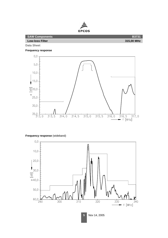

**Data Sheet**

**Frequency response**



### **Frequency response** (wideband)